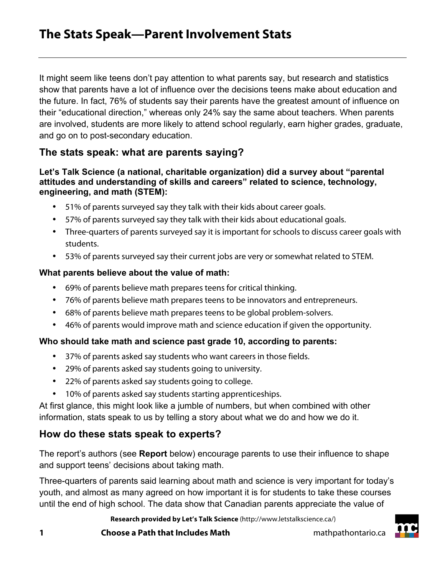# **The Stats Speak—Parent Involvement Stats**

It might seem like teens don't pay attention to what parents say, but research and statistics show that parents have a lot of influence over the decisions teens make about education and the future. In fact, 76% of students say their parents have the greatest amount of influence on their "educational direction," whereas only 24% say the same about teachers. When parents are involved, students are more likely to attend school regularly, earn higher grades, graduate, and go on to post-secondary education.

## **The stats speak: what are parents saying?**

#### **Let's Talk Science (a national, charitable organization) did a survey about "parental attitudes and understanding of skills and careers" related to science, technology, engineering, and math (STEM):**

- 51% of parents surveyed say they talk with their kids about career goals.
- 57% of parents surveyed say they talk with their kids about educational goals.
- Three-quarters of parents surveyed say it is important for schools to discuss career goals with students.
- 53% of parents surveyed say their current jobs are very or somewhat related to STEM.

#### **What parents believe about the value of math:**

- 69% of parents believe math prepares teens for critical thinking.
- 76% of parents believe math prepares teens to be innovators and entrepreneurs.
- 68% of parents believe math prepares teens to be global problem-solvers.
- 46% of parents would improve math and science education if given the opportunity.

#### **Who should take math and science past grade 10, according to parents:**

- 37% of parents asked say students who want careers in those fields.
- 29% of parents asked say students going to university.
- 22% of parents asked say students going to college.
- 10% of parents asked say students starting apprenticeships.

At first glance, this might look like a jumble of numbers, but when combined with other information, stats speak to us by telling a story about what we do and how we do it.

## **How do these stats speak to experts?**

The report's authors (see **Report** below) encourage parents to use their influence to shape and support teens' decisions about taking math.

Three-quarters of parents said learning about math and science is very important for today's youth, and almost as many agreed on how important it is for students to take these courses until the end of high school. The data show that Canadian parents appreciate the value of

**Research provided by Let's Talk Science** (http://www.letstalkscience.ca/)

**1 Choose a Path that Includes Math** mathpathontario.ca